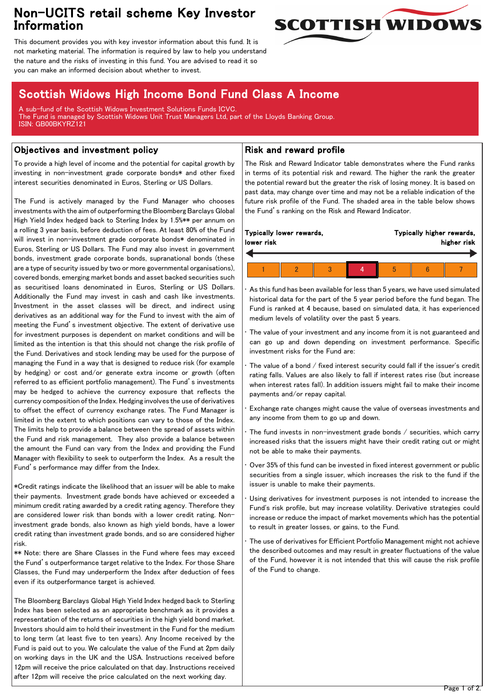## Non-UCITS retail scheme Key Investor Information



This document provides you with key investor information about this fund. It is not marketing material. The information is required by law to help you understand the nature and the risks of investing in this fund. You are advised to read it so you can make an informed decision about whether to invest.

# Scottish Widows High Income Bond Fund Class A Income

A sub-fund of the Scottish Widows Investment Solutions Funds ICVC. The Fund is managed by Scottish Widows Unit Trust Managers Ltd, part of the Lloyds Banking Group. ISIN: GB00BKYRZ121

### Objectives and investment policy

To provide a high level of income and the potential for capital growth by investing in non-investment grade corporate bonds\* and other fixed interest securities denominated in Euros, Sterling or US Dollars.

The Fund is actively managed by the Fund Manager who chooses investments with the aim of outperforming the Bloomberg Barclays Global High Yield Index hedged back to Sterling Index by 1.5%\*\* per annum on a rolling 3 year basis, before deduction of fees. At least 80% of the Fund will invest in non-investment grade corporate bonds\* denominated in Euros, Sterling or US Dollars. The Fund may also invest in government bonds, investment grade corporate bonds, supranational bonds (these are a type of security issued by two or more governmental organisations), covered bonds, emerging market bonds and asset backed securities such as securitised loans denominated in Euros, Sterling or US Dollars. Additionally the Fund may invest in cash and cash like investments. Investment in the asset classes will be direct, and indirect using derivatives as an additional way for the Fund to invest with the aim of meeting the Fund's investment objective. The extent of derivative use for investment purposes is dependent on market conditions and will be limited as the intention is that this should not change the risk profile of the Fund. Derivatives and stock lending may be used for the purpose of managing the Fund in a way that is designed to reduce risk (for example by hedging) or cost and/or generate extra income or growth (often referred to as efficient portfolio management). The Fund's investments may be hedged to achieve the currency exposure that reflects the currency composition of the Index. Hedging involves the use of derivatives to offset the effect of currency exchange rates. The Fund Manager is limited in the extent to which positions can vary to those of the Index. The limits help to provide a balance between the spread of assets within the Fund and risk management. They also provide a balance between the amount the Fund can vary from the Index and providing the Fund Manager with flexibility to seek to outperform the Index. As a result the Fund's performance may differ from the Index.

\*Credit ratings indicate the likelihood that an issuer will be able to make their payments. Investment grade bonds have achieved or exceeded a minimum credit rating awarded by a credit rating agency. Therefore they are considered lower risk than bonds with a lower credit rating. Noninvestment grade bonds, also known as high yield bonds, have a lower credit rating than investment grade bonds, and so are considered higher risk.

\*\* Note: there are Share Classes in the Fund where fees may exceed the Fund's outperformance target relative to the Index. For those Share Classes, the Fund may underperform the Index after deduction of fees even if its outperformance target is achieved.

The Bloomberg Barclays Global High Yield Index hedged back to Sterling Index has been selected as an appropriate benchmark as it provides a representation of the returns of securities in the high yield bond market. Investors should aim to hold their investment in the Fund for the medium to long term (at least five to ten years). Any Income received by the Fund is paid out to you. We calculate the value of the Fund at 2pm daily on working days in the UK and the USA. Instructions received before 12pm will receive the price calculated on that day. Instructions received after 12pm will receive the price calculated on the next working day.

### Risk and reward profile

The Risk and Reward Indicator table demonstrates where the Fund ranks in terms of its potential risk and reward. The higher the rank the greater the potential reward but the greater the risk of losing money. It is based on past data, may change over time and may not be a reliable indication of the future risk profile of the Fund. The shaded area in the table below shows the Fund's ranking on the Risk and Reward Indicator.

| Typically lower rewards, |  |  |  | Typically higher rewards, |  |  |
|--------------------------|--|--|--|---------------------------|--|--|
| lower risk               |  |  |  | higher risk               |  |  |
|                          |  |  |  |                           |  |  |

• As this fund has been available for less than 5 years, we have used simulated historical data for the part of the 5 year period before the fund began. The Fund is ranked at 4 because, based on simulated data, it has experienced medium levels of volatility over the past 5 years.

The value of your investment and any income from it is not guaranteed and can go up and down depending on investment performance. Specific investment risks for the Fund are:

The value of a bond / fixed interest security could fall if the issuer's credit rating falls. Values are also likely to fall if interest rates rise (but increase when interest rates fall). In addition issuers might fail to make their income payments and/or repay capital.

• Exchange rate changes might cause the value of overseas investments and any income from them to go up and down.

The fund invests in non-investment grade bonds / securities, which carry increased risks that the issuers might have their credit rating cut or might not be able to make their payments.

• Over 35% of this fund can be invested in fixed interest government or public securities from a single issuer, which increases the risk to the fund if the issuer is unable to make their payments.

Using derivatives for investment purposes is not intended to increase the Fund's risk profile, but may increase volatility. Derivative strategies could increase or reduce the impact of market movements which has the potential to result in greater losses, or gains, to the Fund.

The use of derivatives for Efficient Portfolio Management might not achieve the described outcomes and may result in greater fluctuations of the value of the Fund, however it is not intended that this will cause the risk profile of the Fund to change.